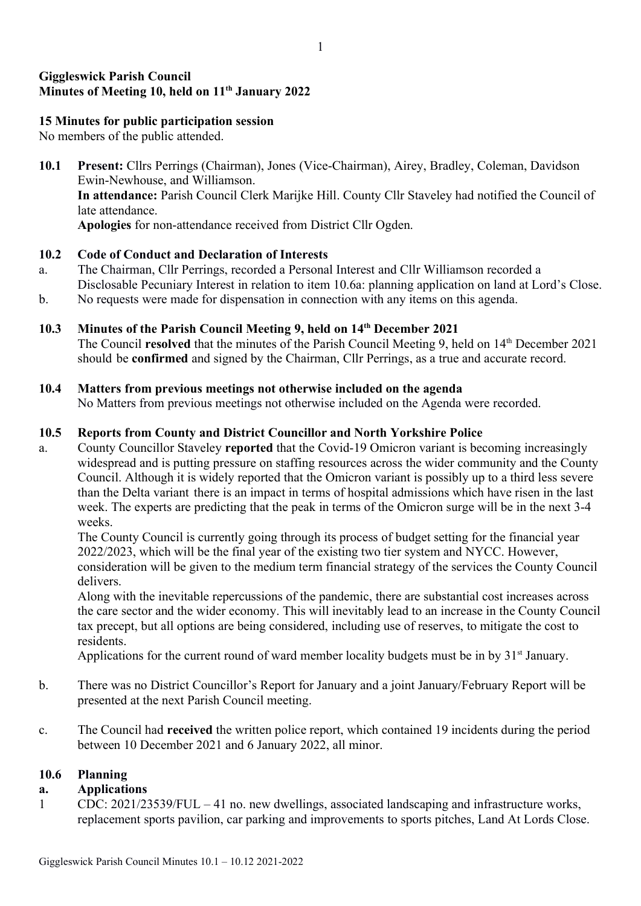# Giggleswick Parish Council Minutes of Meeting 10, held on 11<sup>th</sup> January 2022

# 15 Minutes for public participation session

No members of the public attended.

10.1 Present: Cllrs Perrings (Chairman), Jones (Vice-Chairman), Airey, Bradley, Coleman, Davidson Ewin-Newhouse, and Williamson. In attendance: Parish Council Clerk Marijke Hill. County Cllr Staveley had notified the Council of late attendance. Apologies for non-attendance received from District Cllr Ogden.

### 10.2 Code of Conduct and Declaration of Interests

- a. The Chairman, Cllr Perrings, recorded a Personal Interest and Cllr Williamson recorded a Disclosable Pecuniary Interest in relation to item 10.6a: planning application on land at Lord's Close.
- b. No requests were made for dispensation in connection with any items on this agenda.

### 10.3 Minutes of the Parish Council Meeting 9, held on 14<sup>th</sup> December 2021

The Council resolved that the minutes of the Parish Council Meeting 9, held on 14<sup>th</sup> December 2021 should be confirmed and signed by the Chairman, Cllr Perrings, as a true and accurate record.

### 10.4 Matters from previous meetings not otherwise included on the agenda

No Matters from previous meetings not otherwise included on the Agenda were recorded.

# 10.5 Reports from County and District Councillor and North Yorkshire Police

a. County Councillor Staveley reported that the Covid-19 Omicron variant is becoming increasingly widespread and is putting pressure on staffing resources across the wider community and the County Council. Although it is widely reported that the Omicron variant is possibly up to a third less severe than the Delta variant there is an impact in terms of hospital admissions which have risen in the last week. The experts are predicting that the peak in terms of the Omicron surge will be in the next 3-4 weeks.

The County Council is currently going through its process of budget setting for the financial year 2022/2023, which will be the final year of the existing two tier system and NYCC. However, consideration will be given to the medium term financial strategy of the services the County Council delivers.

Along with the inevitable repercussions of the pandemic, there are substantial cost increases across the care sector and the wider economy. This will inevitably lead to an increase in the County Council tax precept, but all options are being considered, including use of reserves, to mitigate the cost to residents.

Applications for the current round of ward member locality budgets must be in by  $31<sup>st</sup>$  January.

- b. There was no District Councillor's Report for January and a joint January/February Report will be presented at the next Parish Council meeting.
- c. The Council had received the written police report, which contained 19 incidents during the period between 10 December 2021 and 6 January 2022, all minor.

# 10.6 Planning

# a. Applications

1 CDC: 2021/23539/FUL – 41 no. new dwellings, associated landscaping and infrastructure works, replacement sports pavilion, car parking and improvements to sports pitches, Land At Lords Close.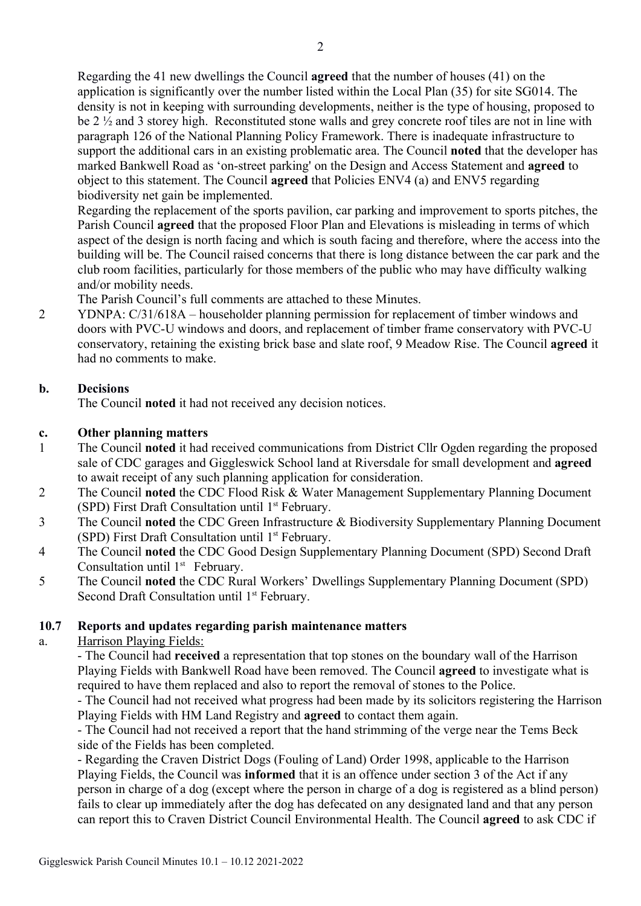Regarding the 41 new dwellings the Council agreed that the number of houses (41) on the application is significantly over the number listed within the Local Plan (35) for site SG014. The density is not in keeping with surrounding developments, neither is the type of housing, proposed to be 2 ½ and 3 storey high. Reconstituted stone walls and grey concrete roof tiles are not in line with paragraph 126 of the National Planning Policy Framework. There is inadequate infrastructure to support the additional cars in an existing problematic area. The Council noted that the developer has marked Bankwell Road as 'on-street parking' on the Design and Access Statement and agreed to object to this statement. The Council agreed that Policies ENV4 (a) and ENV5 regarding biodiversity net gain be implemented.

Regarding the replacement of the sports pavilion, car parking and improvement to sports pitches, the Parish Council agreed that the proposed Floor Plan and Elevations is misleading in terms of which aspect of the design is north facing and which is south facing and therefore, where the access into the building will be. The Council raised concerns that there is long distance between the car park and the club room facilities, particularly for those members of the public who may have difficulty walking and/or mobility needs.

The Parish Council's full comments are attached to these Minutes.

2 YDNPA: C/31/618A – householder planning permission for replacement of timber windows and doors with PVC-U windows and doors, and replacement of timber frame conservatory with PVC-U conservatory, retaining the existing brick base and slate roof, 9 Meadow Rise. The Council agreed it had no comments to make.

# b. Decisions

The Council noted it had not received any decision notices.

# c. Other planning matters

- 1 The Council noted it had received communications from District Cllr Ogden regarding the proposed sale of CDC garages and Giggleswick School land at Riversdale for small development and agreed to await receipt of any such planning application for consideration.
- 2 The Council noted the CDC Flood Risk & Water Management Supplementary Planning Document (SPD) First Draft Consultation until  $1<sup>st</sup>$  February.
- 3 The Council noted the CDC Green Infrastructure & Biodiversity Supplementary Planning Document (SPD) First Draft Consultation until  $1<sup>st</sup>$  February.
- 4 The Council noted the CDC Good Design Supplementary Planning Document (SPD) Second Draft Consultation until 1<sup>st</sup> February.
- 5 The Council noted the CDC Rural Workers' Dwellings Supplementary Planning Document (SPD) Second Draft Consultation until 1<sup>st</sup> February.

#### 10.7 Reports and updates regarding parish maintenance matters

# a. Harrison Playing Fields:

- The Council had received a representation that top stones on the boundary wall of the Harrison Playing Fields with Bankwell Road have been removed. The Council agreed to investigate what is required to have them replaced and also to report the removal of stones to the Police.

- The Council had not received what progress had been made by its solicitors registering the Harrison Playing Fields with HM Land Registry and agreed to contact them again.

- The Council had not received a report that the hand strimming of the verge near the Tems Beck side of the Fields has been completed.

- Regarding the Craven District Dogs (Fouling of Land) Order 1998, applicable to the Harrison Playing Fields, the Council was informed that it is an offence under section 3 of the Act if any person in charge of a dog (except where the person in charge of a dog is registered as a blind person) fails to clear up immediately after the dog has defecated on any designated land and that any person can report this to Craven District Council Environmental Health. The Council agreed to ask CDC if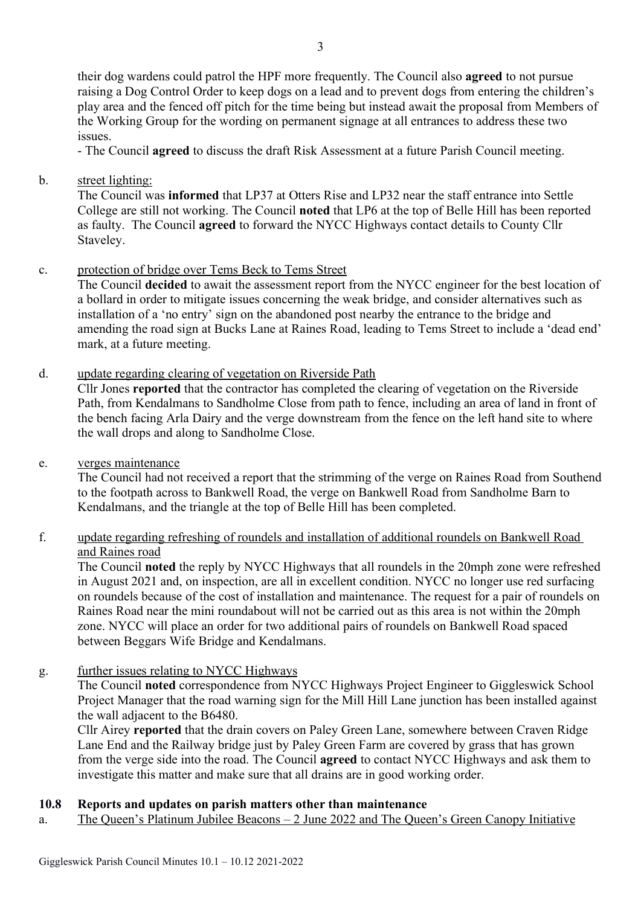their dog wardens could patrol the HPF more frequently. The Council also agreed to not pursue raising a Dog Control Order to keep dogs on a lead and to prevent dogs from entering the children's play area and the fenced off pitch for the time being but instead await the proposal from Members of the Working Group for the wording on permanent signage at all entrances to address these two issues.

- The Council agreed to discuss the draft Risk Assessment at a future Parish Council meeting.

b. street lighting:

The Council was informed that LP37 at Otters Rise and LP32 near the staff entrance into Settle College are still not working. The Council noted that LP6 at the top of Belle Hill has been reported as faulty. The Council agreed to forward the NYCC Highways contact details to County Cllr Staveley.

c. protection of bridge over Tems Beck to Tems Street

The Council decided to await the assessment report from the NYCC engineer for the best location of a bollard in order to mitigate issues concerning the weak bridge, and consider alternatives such as installation of a 'no entry' sign on the abandoned post nearby the entrance to the bridge and amending the road sign at Bucks Lane at Raines Road, leading to Tems Street to include a 'dead end' mark, at a future meeting.

d. update regarding clearing of vegetation on Riverside Path

Cllr Jones reported that the contractor has completed the clearing of vegetation on the Riverside Path, from Kendalmans to Sandholme Close from path to fence, including an area of land in front of the bench facing Arla Dairy and the verge downstream from the fence on the left hand site to where the wall drops and along to Sandholme Close.

e. verges maintenance

The Council had not received a report that the strimming of the verge on Raines Road from Southend to the footpath across to Bankwell Road, the verge on Bankwell Road from Sandholme Barn to Kendalmans, and the triangle at the top of Belle Hill has been completed.

# f. update regarding refreshing of roundels and installation of additional roundels on Bankwell Road and Raines road

The Council noted the reply by NYCC Highways that all roundels in the 20mph zone were refreshed in August 2021 and, on inspection, are all in excellent condition. NYCC no longer use red surfacing on roundels because of the cost of installation and maintenance. The request for a pair of roundels on Raines Road near the mini roundabout will not be carried out as this area is not within the 20mph zone. NYCC will place an order for two additional pairs of roundels on Bankwell Road spaced between Beggars Wife Bridge and Kendalmans.

g. further issues relating to NYCC Highways

The Council noted correspondence from NYCC Highways Project Engineer to Giggleswick School Project Manager that the road warning sign for the Mill Hill Lane junction has been installed against the wall adjacent to the B6480.

Cllr Airey reported that the drain covers on Paley Green Lane, somewhere between Craven Ridge Lane End and the Railway bridge just by Paley Green Farm are covered by grass that has grown from the verge side into the road. The Council agreed to contact NYCC Highways and ask them to investigate this matter and make sure that all drains are in good working order.

# 10.8 Reports and updates on parish matters other than maintenance

a. The Queen's Platinum Jubilee Beacons – 2 June 2022 and The Queen's Green Canopy Initiative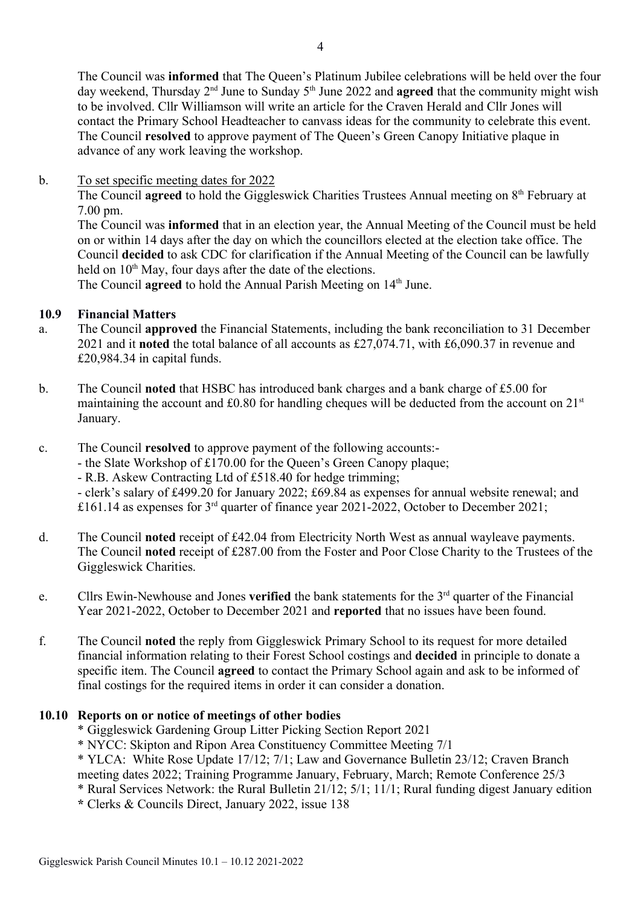The Council was informed that The Queen's Platinum Jubilee celebrations will be held over the four day weekend, Thursday  $2<sup>nd</sup>$  June to Sunday  $5<sup>th</sup>$  June 2022 and **agreed** that the community might wish to be involved. Cllr Williamson will write an article for the Craven Herald and Cllr Jones will contact the Primary School Headteacher to canvass ideas for the community to celebrate this event. The Council resolved to approve payment of The Queen's Green Canopy Initiative plaque in advance of any work leaving the workshop.

### b. To set specific meeting dates for 2022

The Council **agreed** to hold the Giggleswick Charities Trustees Annual meeting on  $8<sup>th</sup>$  February at 7.00 pm.

The Council was informed that in an election year, the Annual Meeting of the Council must be held on or within 14 days after the day on which the councillors elected at the election take office. The Council decided to ask CDC for clarification if the Annual Meeting of the Council can be lawfully held on  $10<sup>th</sup>$  May, four days after the date of the elections.

The Council **agreed** to hold the Annual Parish Meeting on 14<sup>th</sup> June.

### 10.9 Financial Matters

- a. The Council approved the Financial Statements, including the bank reconciliation to 31 December 2021 and it noted the total balance of all accounts as £27,074.71, with £6,090.37 in revenue and £20,984.34 in capital funds.
- b. The Council noted that HSBC has introduced bank charges and a bank charge of £5.00 for maintaining the account and  $\text{\pounds}0.80$  for handling cheques will be deducted from the account on  $21^{\text{st}}$ January.
- c. The Council resolved to approve payment of the following accounts:-
	- the Slate Workshop of £170.00 for the Queen's Green Canopy plaque;
		- R.B. Askew Contracting Ltd of £518.40 for hedge trimming;

- clerk's salary of £499.20 for January 2022; £69.84 as expenses for annual website renewal; and £161.14 as expenses for 3rd quarter of finance year 2021-2022, October to December 2021;

- d. The Council noted receipt of £42.04 from Electricity North West as annual wayleave payments. The Council noted receipt of £287.00 from the Foster and Poor Close Charity to the Trustees of the Giggleswick Charities.
- e. Cllrs Ewin-Newhouse and Jones **verified** the bank statements for the  $3<sup>rd</sup>$  quarter of the Financial Year 2021-2022, October to December 2021 and reported that no issues have been found.
- f. The Council noted the reply from Giggleswick Primary School to its request for more detailed financial information relating to their Forest School costings and decided in principle to donate a specific item. The Council agreed to contact the Primary School again and ask to be informed of final costings for the required items in order it can consider a donation.

#### 10.10 Reports on or notice of meetings of other bodies

- \* Giggleswick Gardening Group Litter Picking Section Report 2021
- \* NYCC: Skipton and Ripon Area Constituency Committee Meeting 7/1
- \* YLCA: White Rose Update 17/12; 7/1; Law and Governance Bulletin 23/12; Craven Branch meeting dates 2022; Training Programme January, February, March; Remote Conference 25/3
- \* Rural Services Network: the Rural Bulletin 21/12; 5/1; 11/1; Rural funding digest January edition
- \* Clerks & Councils Direct, January 2022, issue 138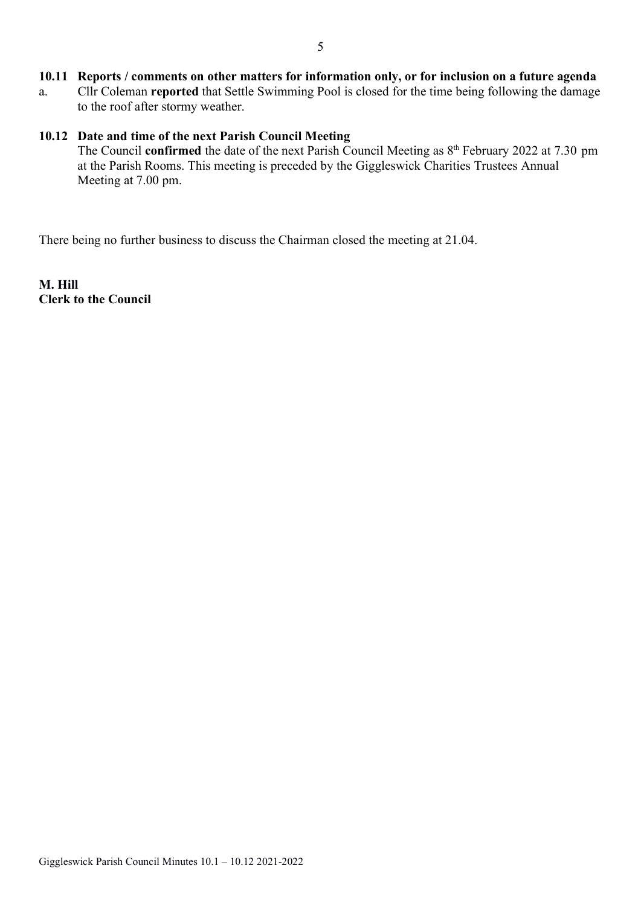# 10.11 Reports / comments on other matters for information only, or for inclusion on a future agenda

a. Cllr Coleman reported that Settle Swimming Pool is closed for the time being following the damage to the roof after stormy weather.

### 10.12 Date and time of the next Parish Council Meeting

The Council **confirmed** the date of the next Parish Council Meeting as  $8<sup>th</sup>$  February 2022 at 7.30 pm at the Parish Rooms. This meeting is preceded by the Giggleswick Charities Trustees Annual Meeting at 7.00 pm.

There being no further business to discuss the Chairman closed the meeting at 21.04.

M. Hill Clerk to the Council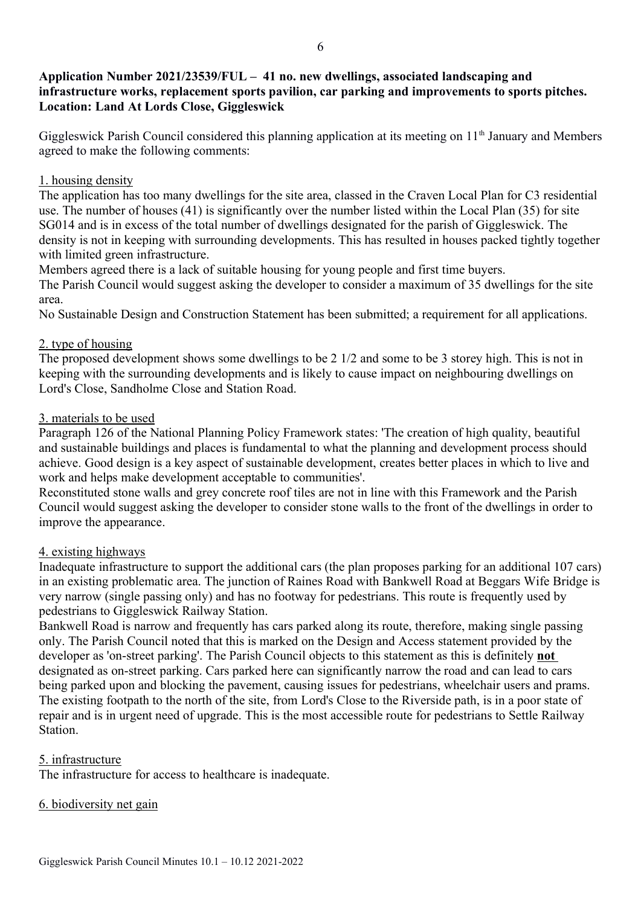# Application Number 2021/23539/FUL – 41 no. new dwellings, associated landscaping and infrastructure works, replacement sports pavilion, car parking and improvements to sports pitches. Location: Land At Lords Close, Giggleswick

Giggleswick Parish Council considered this planning application at its meeting on 11<sup>th</sup> January and Members agreed to make the following comments:

### 1. housing density

The application has too many dwellings for the site area, classed in the Craven Local Plan for C3 residential use. The number of houses (41) is significantly over the number listed within the Local Plan (35) for site SG014 and is in excess of the total number of dwellings designated for the parish of Giggleswick. The density is not in keeping with surrounding developments. This has resulted in houses packed tightly together with limited green infrastructure.

Members agreed there is a lack of suitable housing for young people and first time buyers.

The Parish Council would suggest asking the developer to consider a maximum of 35 dwellings for the site area.

No Sustainable Design and Construction Statement has been submitted; a requirement for all applications.

# 2. type of housing

The proposed development shows some dwellings to be 2 1/2 and some to be 3 storey high. This is not in keeping with the surrounding developments and is likely to cause impact on neighbouring dwellings on Lord's Close, Sandholme Close and Station Road.

### 3. materials to be used

Paragraph 126 of the National Planning Policy Framework states: 'The creation of high quality, beautiful and sustainable buildings and places is fundamental to what the planning and development process should achieve. Good design is a key aspect of sustainable development, creates better places in which to live and work and helps make development acceptable to communities'.

Reconstituted stone walls and grey concrete roof tiles are not in line with this Framework and the Parish Council would suggest asking the developer to consider stone walls to the front of the dwellings in order to improve the appearance.

# 4. existing highways

Inadequate infrastructure to support the additional cars (the plan proposes parking for an additional 107 cars) in an existing problematic area. The junction of Raines Road with Bankwell Road at Beggars Wife Bridge is very narrow (single passing only) and has no footway for pedestrians. This route is frequently used by pedestrians to Giggleswick Railway Station.

Bankwell Road is narrow and frequently has cars parked along its route, therefore, making single passing only. The Parish Council noted that this is marked on the Design and Access statement provided by the developer as 'on-street parking'. The Parish Council objects to this statement as this is definitely not designated as on-street parking. Cars parked here can significantly narrow the road and can lead to cars being parked upon and blocking the pavement, causing issues for pedestrians, wheelchair users and prams. The existing footpath to the north of the site, from Lord's Close to the Riverside path, is in a poor state of repair and is in urgent need of upgrade. This is the most accessible route for pedestrians to Settle Railway Station.

# 5. infrastructure

The infrastructure for access to healthcare is inadequate.

#### 6. biodiversity net gain